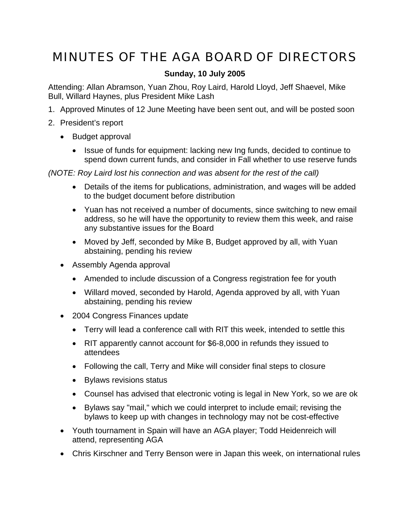## MINUTES OF THE AGA BOARD OF DIRECTORS

## **Sunday, 10 July 2005**

Attending: Allan Abramson, Yuan Zhou, Roy Laird, Harold Lloyd, Jeff Shaevel, Mike Bull, Willard Haynes, plus President Mike Lash

- 1. Approved Minutes of 12 June Meeting have been sent out, and will be posted soon
- 2. President's report
	- Budget approval
		- Issue of funds for equipment: lacking new Ing funds, decided to continue to spend down current funds, and consider in Fall whether to use reserve funds

*(NOTE: Roy Laird lost his connection and was absent for the rest of the call)*

- Details of the items for publications, administration, and wages will be added to the budget document before distribution
- Yuan has not received a number of documents, since switching to new email address, so he will have the opportunity to review them this week, and raise any substantive issues for the Board
- Moved by Jeff, seconded by Mike B, Budget approved by all, with Yuan abstaining, pending his review
- Assembly Agenda approval
	- Amended to include discussion of a Congress registration fee for youth
	- Willard moved, seconded by Harold, Agenda approved by all, with Yuan abstaining, pending his review
- 2004 Congress Finances update
	- Terry will lead a conference call with RIT this week, intended to settle this
	- RIT apparently cannot account for \$6-8,000 in refunds they issued to attendees
	- Following the call, Terry and Mike will consider final steps to closure
	- Bylaws revisions status
	- Counsel has advised that electronic voting is legal in New York, so we are ok
	- Bylaws say "mail," which we could interpret to include email; revising the bylaws to keep up with changes in technology may not be cost-effective
- Youth tournament in Spain will have an AGA player; Todd Heidenreich will attend, representing AGA
- Chris Kirschner and Terry Benson were in Japan this week, on international rules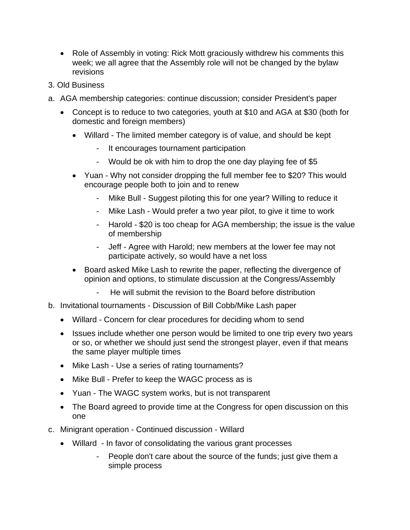- Role of Assembly in voting: Rick Mott graciously withdrew his comments this week; we all agree that the Assembly role will not be changed by the bylaw revisions
- 3. Old Business
- a. AGA membership categories: continue discussion; consider President's paper
	- Concept is to reduce to two categories, youth at \$10 and AGA at \$30 (both for domestic and foreign members)
		- Willard The limited member category is of value, and should be kept
			- It encourages tournament participation
			- Would be ok with him to drop the one day playing fee of \$5
		- Yuan Why not consider dropping the full member fee to \$20? This would encourage people both to join and to renew
			- Mike Bull Suggest piloting this for one year? Willing to reduce it
			- Mike Lash Would prefer a two year pilot, to give it time to work
			- Harold \$20 is too cheap for AGA membership; the issue is the value of membership
			- Jeff Agree with Harold; new members at the lower fee may not participate actively, so would have a net loss
		- Board asked Mike Lash to rewrite the paper, reflecting the divergence of opinion and options, to stimulate discussion at the Congress/Assembly
			- He will submit the revision to the Board before distribution
- b. Invitational tournaments Discussion of Bill Cobb/Mike Lash paper
	- Willard Concern for clear procedures for deciding whom to send
	- Issues include whether one person would be limited to one trip every two years or so, or whether we should just send the strongest player, even if that means the same player multiple times
	- Mike Lash Use a series of rating tournaments?
	- Mike Bull Prefer to keep the WAGC process as is
	- Yuan The WAGC system works, but is not transparent
	- The Board agreed to provide time at the Congress for open discussion on this one
- c. Minigrant operation Continued discussion Willard
	- Willard In favor of consolidating the various grant processes
		- People don't care about the source of the funds; just give them a simple process